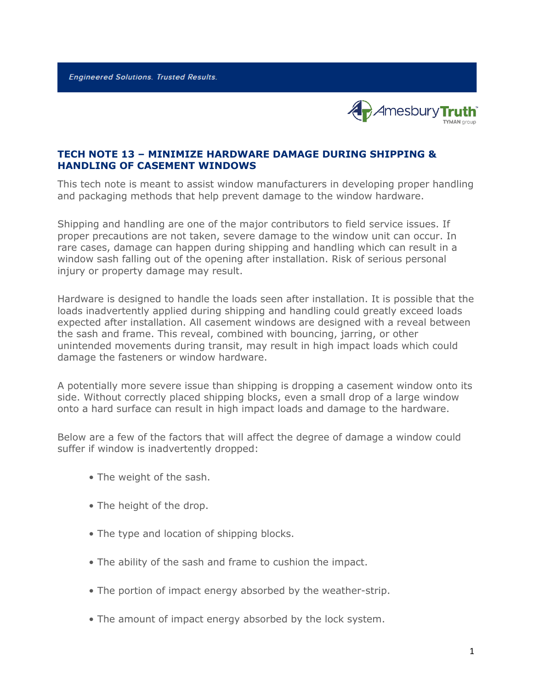**Engineered Solutions. Trusted Results.** 



### **TECH NOTE 13 – MINIMIZE HARDWARE DAMAGE DURING SHIPPING & HANDLING OF CASEMENT WINDOWS**

This tech note is meant to assist window manufacturers in developing proper handling and packaging methods that help prevent damage to the window hardware.

Shipping and handling are one of the major contributors to field service issues. If proper precautions are not taken, severe damage to the window unit can occur. In rare cases, damage can happen during shipping and handling which can result in a window sash falling out of the opening after installation. Risk of serious personal injury or property damage may result.

Hardware is designed to handle the loads seen after installation. It is possible that the loads inadvertently applied during shipping and handling could greatly exceed loads expected after installation. All casement windows are designed with a reveal between the sash and frame. This reveal, combined with bouncing, jarring, or other unintended movements during transit, may result in high impact loads which could damage the fasteners or window hardware.

A potentially more severe issue than shipping is dropping a casement window onto its side. Without correctly placed shipping blocks, even a small drop of a large window onto a hard surface can result in high impact loads and damage to the hardware.

Below are a few of the factors that will affect the degree of damage a window could suffer if window is inadvertently dropped:

- The weight of the sash.
- The height of the drop.
- The type and location of shipping blocks.
- The ability of the sash and frame to cushion the impact.
- The portion of impact energy absorbed by the weather-strip.
- The amount of impact energy absorbed by the lock system.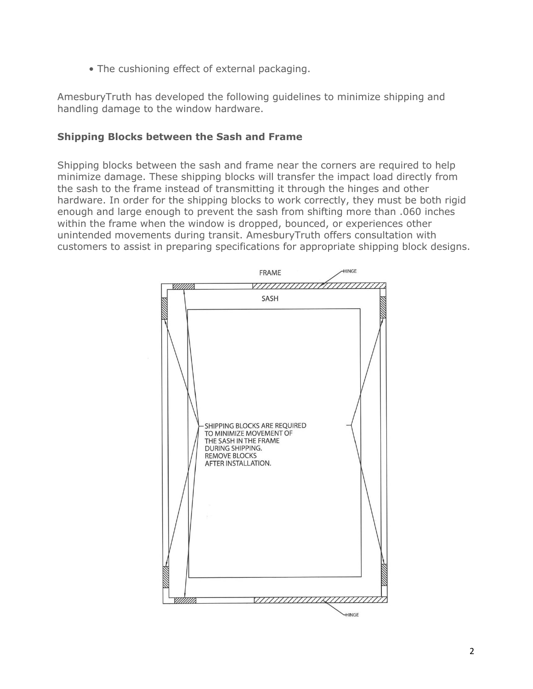• The cushioning effect of external packaging.

AmesburyTruth has developed the following guidelines to minimize shipping and handling damage to the window hardware.

### **Shipping Blocks between the Sash and Frame**

Shipping blocks between the sash and frame near the corners are required to help minimize damage. These shipping blocks will transfer the impact load directly from the sash to the frame instead of transmitting it through the hinges and other hardware. In order for the shipping blocks to work correctly, they must be both rigid enough and large enough to prevent the sash from shifting more than .060 inches within the frame when the window is dropped, bounced, or experiences other unintended movements during transit. AmesburyTruth offers consultation with customers to assist in preparing specifications for appropriate shipping block designs.

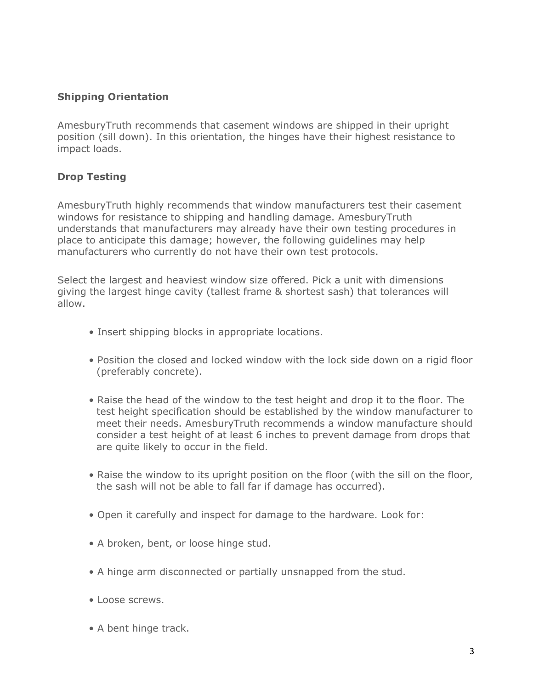# **Shipping Orientation**

AmesburyTruth recommends that casement windows are shipped in their upright position (sill down). In this orientation, the hinges have their highest resistance to impact loads.

# **Drop Testing**

AmesburyTruth highly recommends that window manufacturers test their casement windows for resistance to shipping and handling damage. AmesburyTruth understands that manufacturers may already have their own testing procedures in place to anticipate this damage; however, the following guidelines may help manufacturers who currently do not have their own test protocols.

Select the largest and heaviest window size offered. Pick a unit with dimensions giving the largest hinge cavity (tallest frame & shortest sash) that tolerances will allow.

- Insert shipping blocks in appropriate locations.
- Position the closed and locked window with the lock side down on a rigid floor (preferably concrete).
- Raise the head of the window to the test height and drop it to the floor. The test height specification should be established by the window manufacturer to meet their needs. AmesburyTruth recommends a window manufacture should consider a test height of at least 6 inches to prevent damage from drops that are quite likely to occur in the field.
- Raise the window to its upright position on the floor (with the sill on the floor, the sash will not be able to fall far if damage has occurred).
- Open it carefully and inspect for damage to the hardware. Look for:
- A broken, bent, or loose hinge stud.
- A hinge arm disconnected or partially unsnapped from the stud.
- Loose screws.
- A bent hinge track.